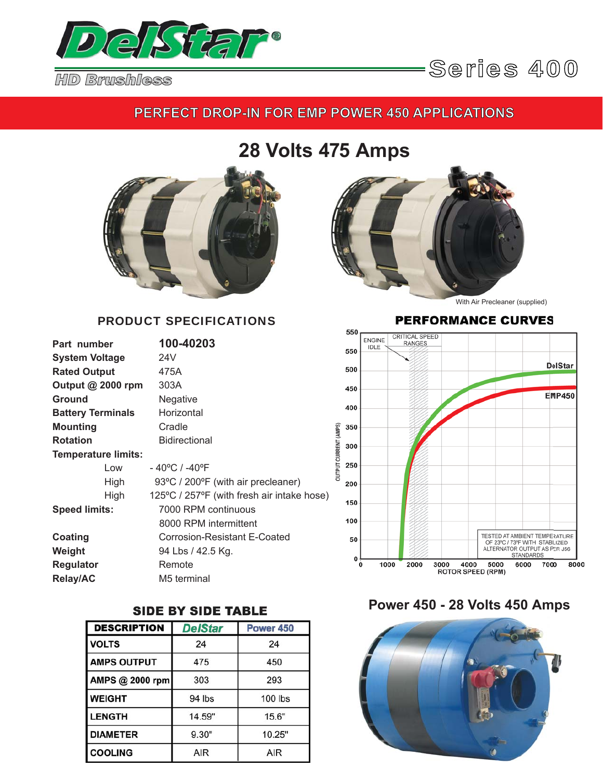

### **PERFECT DROP-IN FOR EMP POWER 450 APPLICATIONS**

# **28 Volts 475 Amps**



#### PRODUCT SPECIFICATIONS

| Part number                | 100-40203                                  |
|----------------------------|--------------------------------------------|
| <b>System Voltage</b>      | 24V                                        |
| <b>Rated Output</b>        | 475A                                       |
| Output $@$ 2000 rpm        | 303A                                       |
| <b>Ground</b>              | Negative                                   |
| <b>Battery Terminals</b>   | Horizontal                                 |
| <b>Mounting</b>            | Cradle                                     |
| <b>Rotation</b>            | Bidirectional                              |
| <b>Temperature limits:</b> |                                            |
| Low                        | - 40°C / -40°F                             |
| High                       | 93°C / 200°F (with air precleaner)         |
| High                       | 125°C / 257°F (with fresh air intake hose) |
| <b>Speed limits:</b>       | 7000 RPM continuous                        |
|                            | 8000 RPM intermittent                      |
| Coating                    | Corrosion-Resistant E-Coated               |
| Weight                     | 94 Lbs / 42.5 Kg.                          |
| <b>Regulator</b>           | Remote                                     |
| <b>Relay/AC</b>            | M5 terminal                                |

### **SIDE BY SIDE TABLE**

| <b>DESCRIPTION</b> | <b>DelStar</b> | Power 450 |
|--------------------|----------------|-----------|
| <b>VOLTS</b>       | 24             | 24        |
| <b>AMPS OUTPUT</b> | 475            | 450       |
| AMPS @ 2000 rpm    | 303            | 293       |
| <b>WEIGHT</b>      | 94 lbs         | 100 lbs   |
| <b>LENGTH</b>      | 14.59"         | 15.6"     |
| <b>DIAMETER</b>    | 9.30"          | 10.25"    |
| <b>COOLING</b>     | AIR            | AIR       |



With Air Precleaner (supplied)

#### **PERFORMANCE CURVES**



### **Power 450 - 28 Volts 450 Amps**